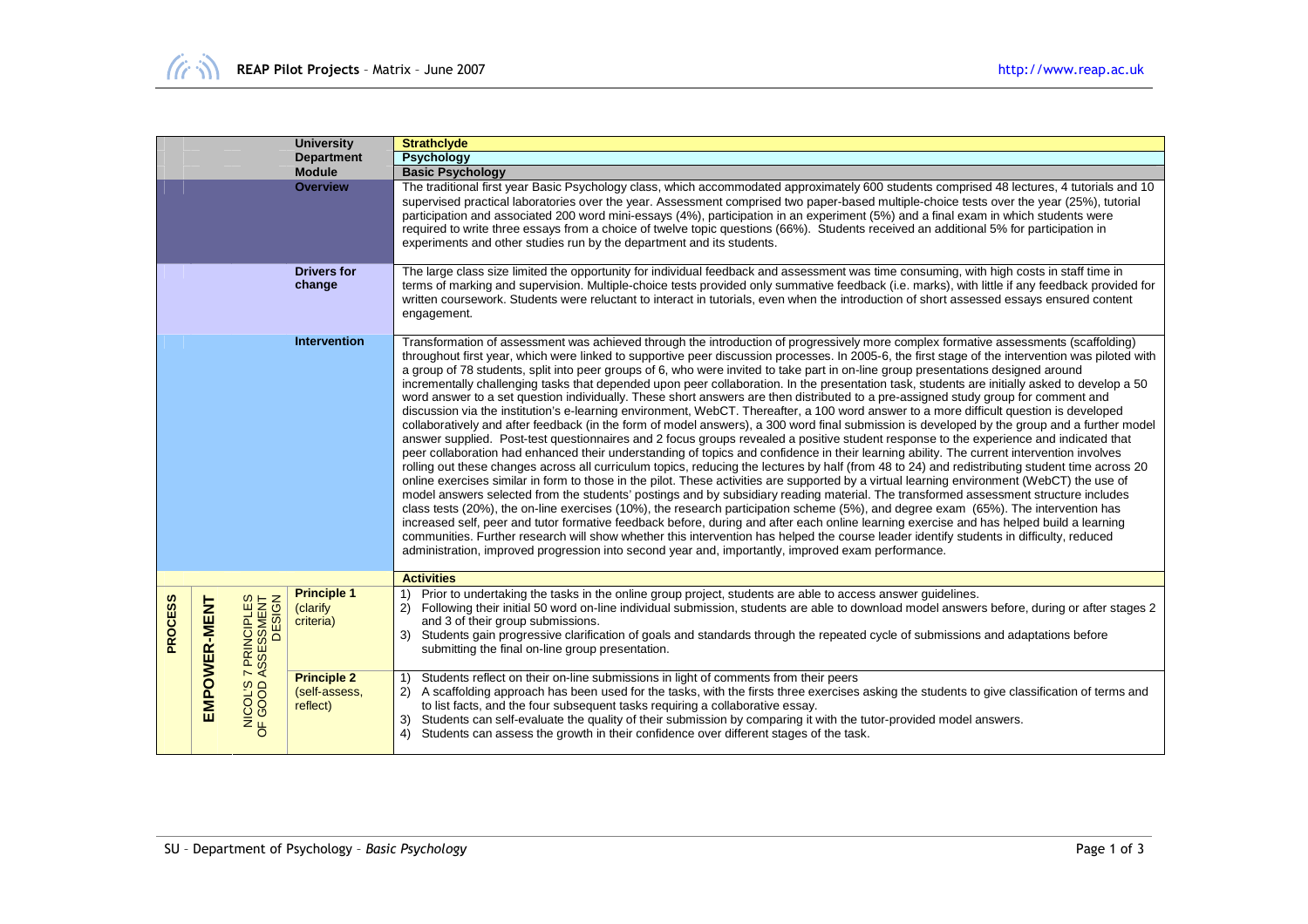| <b>University</b> |              |                                         |                                                 | <b>Strathclyde</b>                                                                                                                                                                                                                                                                                                                                                                                                                                                                                                                                                                                                                                                                                                                                                                                                                                                                                                                                                                                                                                                                                                                                                                                                                                                                                                                                                                                                                                                                                                                                                                                                                                                                                                                                                                                                                                                                                                                                                                                                                                                                                                                                                                                                                                                                    |  |  |
|-------------------|--------------|-----------------------------------------|-------------------------------------------------|---------------------------------------------------------------------------------------------------------------------------------------------------------------------------------------------------------------------------------------------------------------------------------------------------------------------------------------------------------------------------------------------------------------------------------------------------------------------------------------------------------------------------------------------------------------------------------------------------------------------------------------------------------------------------------------------------------------------------------------------------------------------------------------------------------------------------------------------------------------------------------------------------------------------------------------------------------------------------------------------------------------------------------------------------------------------------------------------------------------------------------------------------------------------------------------------------------------------------------------------------------------------------------------------------------------------------------------------------------------------------------------------------------------------------------------------------------------------------------------------------------------------------------------------------------------------------------------------------------------------------------------------------------------------------------------------------------------------------------------------------------------------------------------------------------------------------------------------------------------------------------------------------------------------------------------------------------------------------------------------------------------------------------------------------------------------------------------------------------------------------------------------------------------------------------------------------------------------------------------------------------------------------------------|--|--|
| <b>Department</b> |              |                                         |                                                 | <b>Psychology</b>                                                                                                                                                                                                                                                                                                                                                                                                                                                                                                                                                                                                                                                                                                                                                                                                                                                                                                                                                                                                                                                                                                                                                                                                                                                                                                                                                                                                                                                                                                                                                                                                                                                                                                                                                                                                                                                                                                                                                                                                                                                                                                                                                                                                                                                                     |  |  |
|                   |              |                                         | <b>Module</b>                                   | <b>Basic Psychology</b>                                                                                                                                                                                                                                                                                                                                                                                                                                                                                                                                                                                                                                                                                                                                                                                                                                                                                                                                                                                                                                                                                                                                                                                                                                                                                                                                                                                                                                                                                                                                                                                                                                                                                                                                                                                                                                                                                                                                                                                                                                                                                                                                                                                                                                                               |  |  |
|                   |              |                                         | <b>Overview</b>                                 | The traditional first year Basic Psychology class, which accommodated approximately 600 students comprised 48 lectures, 4 tutorials and 10<br>supervised practical laboratories over the year. Assessment comprised two paper-based multiple-choice tests over the year (25%), tutorial<br>participation and associated 200 word mini-essays (4%), participation in an experiment (5%) and a final exam in which students were<br>required to write three essays from a choice of twelve topic questions (66%). Students received an additional 5% for participation in<br>experiments and other studies run by the department and its students.                                                                                                                                                                                                                                                                                                                                                                                                                                                                                                                                                                                                                                                                                                                                                                                                                                                                                                                                                                                                                                                                                                                                                                                                                                                                                                                                                                                                                                                                                                                                                                                                                                      |  |  |
|                   |              |                                         | <b>Drivers for</b><br>change                    | The large class size limited the opportunity for individual feedback and assessment was time consuming, with high costs in staff time in<br>terms of marking and supervision. Multiple-choice tests provided only summative feedback (i.e. marks), with little if any feedback provided for<br>written coursework. Students were reluctant to interact in tutorials, even when the introduction of short assessed essays ensured content<br>engagement.                                                                                                                                                                                                                                                                                                                                                                                                                                                                                                                                                                                                                                                                                                                                                                                                                                                                                                                                                                                                                                                                                                                                                                                                                                                                                                                                                                                                                                                                                                                                                                                                                                                                                                                                                                                                                               |  |  |
| Intervention      |              |                                         |                                                 | Transformation of assessment was achieved through the introduction of progressively more complex formative assessments (scaffolding)<br>throughout first year, which were linked to supportive peer discussion processes. In 2005-6, the first stage of the intervention was piloted with<br>a group of 78 students, split into peer groups of 6, who were invited to take part in on-line group presentations designed around<br>incrementally challenging tasks that depended upon peer collaboration. In the presentation task, students are initially asked to develop a 50<br>word answer to a set question individually. These short answers are then distributed to a pre-assigned study group for comment and<br>discussion via the institution's e-learning environment, WebCT. Thereafter, a 100 word answer to a more difficult question is developed<br>collaboratively and after feedback (in the form of model answers), a 300 word final submission is developed by the group and a further model<br>answer supplied. Post-test questionnaires and 2 focus groups revealed a positive student response to the experience and indicated that<br>peer collaboration had enhanced their understanding of topics and confidence in their learning ability. The current intervention involves<br>rolling out these changes across all curriculum topics, reducing the lectures by half (from 48 to 24) and redistributing student time across 20<br>online exercises similar in form to those in the pilot. These activities are supported by a virtual learning environment (WebCT) the use of<br>model answers selected from the students' postings and by subsidiary reading material. The transformed assessment structure includes<br>class tests (20%), the on-line exercises (10%), the research participation scheme (5%), and degree exam (65%). The intervention has<br>increased self, peer and tutor formative feedback before, during and after each online learning exercise and has helped build a learning<br>communities. Further research will show whether this intervention has helped the course leader identify students in difficulty, reduced<br>administration, improved progression into second year and, importantly, improved exam performance. |  |  |
|                   |              |                                         |                                                 | <b>Activities</b>                                                                                                                                                                                                                                                                                                                                                                                                                                                                                                                                                                                                                                                                                                                                                                                                                                                                                                                                                                                                                                                                                                                                                                                                                                                                                                                                                                                                                                                                                                                                                                                                                                                                                                                                                                                                                                                                                                                                                                                                                                                                                                                                                                                                                                                                     |  |  |
| <b>PROCESS</b>    | EMPOWER-MENT | 37 PRINCIPLES<br>7 ASSESSMENT<br>DESIGN | <b>Principle 1</b><br>(clarify<br>criteria)     | Prior to undertaking the tasks in the online group project, students are able to access answer guidelines.<br>1)<br>Following their initial 50 word on-line individual submission, students are able to download model answers before, during or after stages 2<br>2)<br>and 3 of their group submissions.<br>Students gain progressive clarification of goals and standards through the repeated cycle of submissions and adaptations before<br>3)<br>submitting the final on-line group presentation.                                                                                                                                                                                                                                                                                                                                                                                                                                                                                                                                                                                                                                                                                                                                                                                                                                                                                                                                                                                                                                                                                                                                                                                                                                                                                                                                                                                                                                                                                                                                                                                                                                                                                                                                                                               |  |  |
|                   |              | NICOL'S                                 | <b>Principle 2</b><br>(self-assess.<br>reflect) | Students reflect on their on-line submissions in light of comments from their peers<br>1)<br>A scaffolding approach has been used for the tasks, with the firsts three exercises asking the students to give classification of terms and<br>(2)<br>to list facts, and the four subsequent tasks requiring a collaborative essay.<br>Students can self-evaluate the quality of their submission by comparing it with the tutor-provided model answers.<br>3)<br>4) Students can assess the growth in their confidence over different stages of the task.                                                                                                                                                                                                                                                                                                                                                                                                                                                                                                                                                                                                                                                                                                                                                                                                                                                                                                                                                                                                                                                                                                                                                                                                                                                                                                                                                                                                                                                                                                                                                                                                                                                                                                                               |  |  |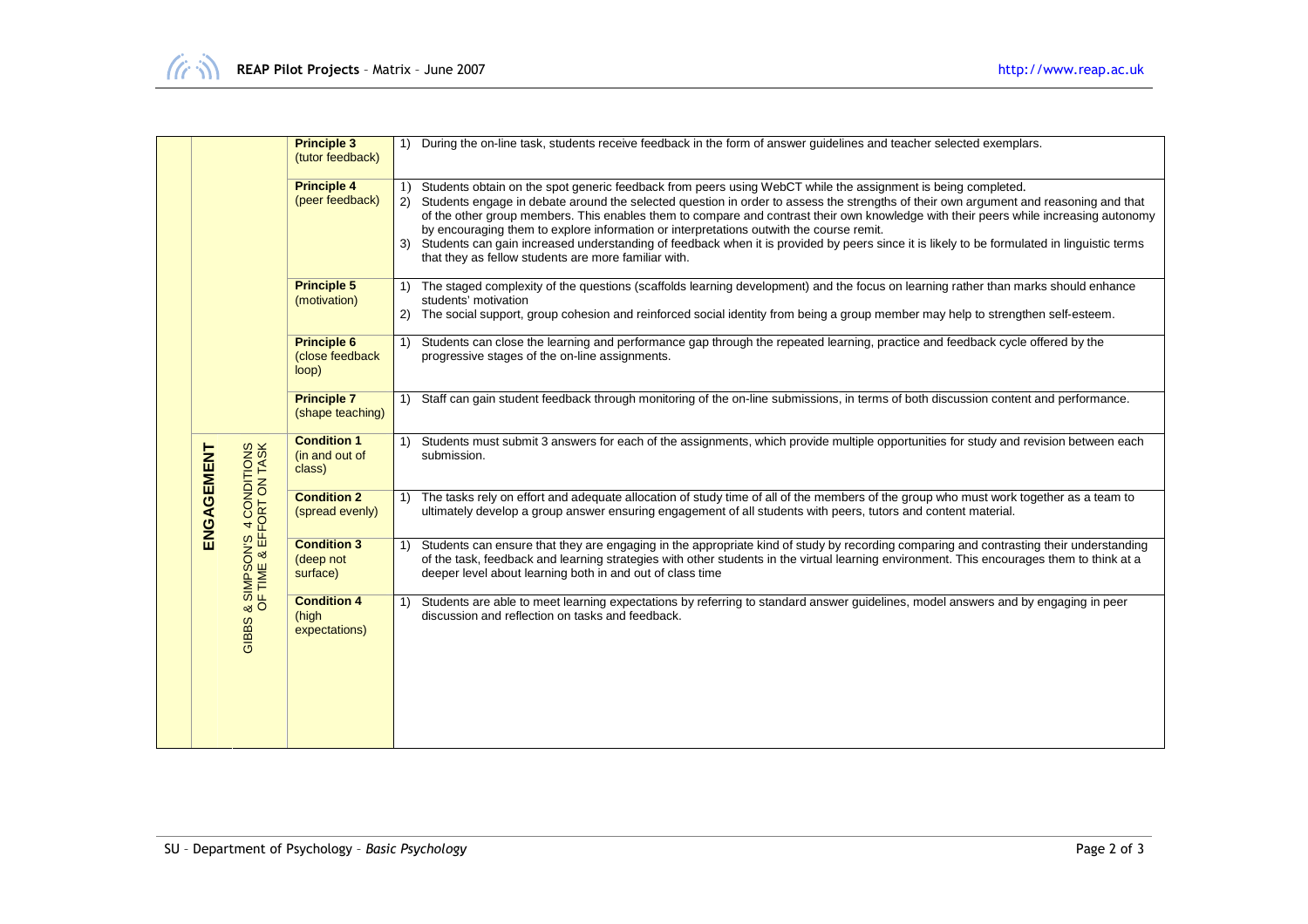|            |                                                      | <b>Principle 3</b><br>(tutor feedback)         |    | 1) During the on-line task, students receive feedback in the form of answer quidelines and teacher selected exemplars.                                                                                                                                                                                                                                                                                                                                                                                                                                                                                                                                                                                 |
|------------|------------------------------------------------------|------------------------------------------------|----|--------------------------------------------------------------------------------------------------------------------------------------------------------------------------------------------------------------------------------------------------------------------------------------------------------------------------------------------------------------------------------------------------------------------------------------------------------------------------------------------------------------------------------------------------------------------------------------------------------------------------------------------------------------------------------------------------------|
|            |                                                      | <b>Principle 4</b><br>(peer feedback)          |    | 1) Students obtain on the spot generic feedback from peers using WebCT while the assignment is being completed.<br>2) Students engage in debate around the selected question in order to assess the strengths of their own argument and reasoning and that<br>of the other group members. This enables them to compare and contrast their own knowledge with their peers while increasing autonomy<br>by encouraging them to explore information or interpretations outwith the course remit.<br>3) Students can gain increased understanding of feedback when it is provided by peers since it is likely to be formulated in linguistic terms<br>that they as fellow students are more familiar with. |
|            |                                                      | <b>Principle 5</b><br>(motivation)             |    | 1) The staged complexity of the questions (scaffolds learning development) and the focus on learning rather than marks should enhance<br>students' motivation<br>2) The social support, group cohesion and reinforced social identity from being a group member may help to strengthen self-esteem.                                                                                                                                                                                                                                                                                                                                                                                                    |
|            |                                                      | <b>Principle 6</b><br>(close feedback<br>loop) |    | 1) Students can close the learning and performance gap through the repeated learning, practice and feedback cycle offered by the<br>progressive stages of the on-line assignments.                                                                                                                                                                                                                                                                                                                                                                                                                                                                                                                     |
|            |                                                      | <b>Principle 7</b><br>(shape teaching)         |    | 1) Staff can gain student feedback through monitoring of the on-line submissions, in terms of both discussion content and performance.                                                                                                                                                                                                                                                                                                                                                                                                                                                                                                                                                                 |
|            |                                                      | <b>Condition 1</b><br>(in and out of<br>class) |    | 1) Students must submit 3 answers for each of the assignments, which provide multiple opportunities for study and revision between each<br>submission.                                                                                                                                                                                                                                                                                                                                                                                                                                                                                                                                                 |
| ENGAGEMENT |                                                      | <b>Condition 2</b><br>(spread evenly)          | 1) | The tasks rely on effort and adequate allocation of study time of all of the members of the group who must work together as a team to<br>ultimately develop a group answer ensuring engagement of all students with peers, tutors and content material.                                                                                                                                                                                                                                                                                                                                                                                                                                                |
|            | & SIMPSON'S 4 CONDITIONS<br>OF TIME & EFFORT ON TASK | <b>Condition 3</b><br>(deep not<br>surface)    |    | 1) Students can ensure that they are engaging in the appropriate kind of study by recording comparing and contrasting their understanding<br>of the task, feedback and learning strategies with other students in the virtual learning environment. This encourages them to think at a<br>deeper level about learning both in and out of class time                                                                                                                                                                                                                                                                                                                                                    |
|            | GIBBS                                                | <b>Condition 4</b><br>(high<br>expectations)   | 1) | Students are able to meet learning expectations by referring to standard answer guidelines, model answers and by engaging in peer<br>discussion and reflection on tasks and feedback.                                                                                                                                                                                                                                                                                                                                                                                                                                                                                                                  |